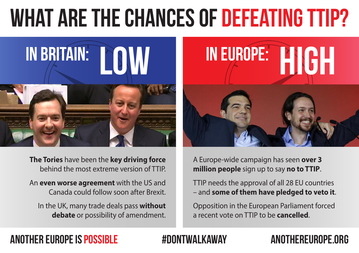# WHAT ARE THE CHANCES OF DEFEATING TTIP?



**The Tories** have been the **key driving force** behind the most extreme version of TTIP.

An **even worse agreement** with the US and Canada could follow soon after Brexit.

In the UK, many trade deals pass **without debate** or possibility of amendment.



A Europe-wide campaign has seen **over 3 million people** sign up to say **no to TTIP**.

TTIP needs the approval of all 28 EU countries – and **some of them have pledged to veto it**.

Opposition in the European Parliament forced a recent vote on TTIP to be **cancelled**.

### ANOTHER EUROPE IS POSSIBLE #DONTWALKAWAY ANOTHEREUROPE.ORG